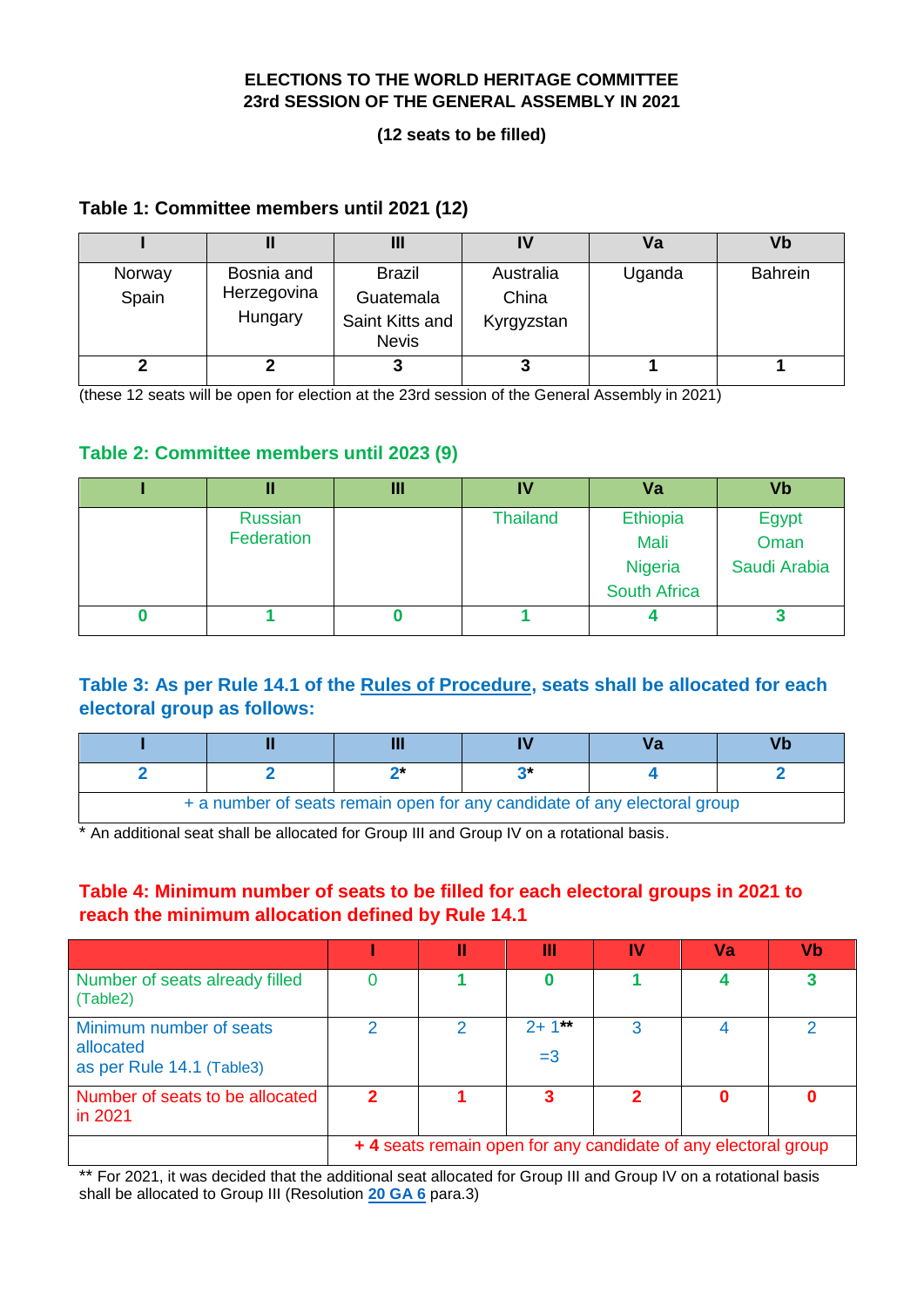#### **ELECTIONS TO THE WORLD HERITAGE COMMITTEE 23rd SESSION OF THE GENERAL ASSEMBLY IN 2021**

### **(12 seats to be filled)**

# **Table 1: Committee members until 2021 (12)**

|                 |                                      |                                                               | IV                               | Va     | Vb             |
|-----------------|--------------------------------------|---------------------------------------------------------------|----------------------------------|--------|----------------|
| Norway<br>Spain | Bosnia and<br>Herzegovina<br>Hungary | <b>Brazil</b><br>Guatemala<br>Saint Kitts and<br><b>Nevis</b> | Australia<br>China<br>Kyrgyzstan | Uganda | <b>Bahrein</b> |
|                 |                                      |                                                               |                                  |        |                |

(these 12 seats will be open for election at the 23rd session of the General Assembly in 2021)

### **Table 2: Committee members until 2023 (9)**

| Ш                     | Ш | IV       | Va                                                 | <b>Vb</b>                     |
|-----------------------|---|----------|----------------------------------------------------|-------------------------------|
| Russian<br>Federation |   | Thailand | Ethiopia<br>Mali<br>Nigeria<br><b>South Africa</b> | Egypt<br>Oman<br>Saudi Arabia |
|                       |   |          |                                                    | w                             |

# **Table 3: As per Rule 14.1 of the [Rules of Procedure,](http://whc.unesco.org/document/134868) seats shall be allocated for each electoral group as follows:**

| + a number of seats remain open for any candidate of any electoral group |  |  |  |  |  |  |
|--------------------------------------------------------------------------|--|--|--|--|--|--|

\* An additional seat shall be allocated for Group III and Group IV on a rotational basis.

# **Table 4: Minimum number of seats to be filled for each electoral groups in 2021 to reach the minimum allocation defined by Rule 14.1**

|                                                                   |                                                               |  | Ш                | IV | Va | Vb |
|-------------------------------------------------------------------|---------------------------------------------------------------|--|------------------|----|----|----|
| Number of seats already filled<br>(Table2)                        |                                                               |  |                  |    |    |    |
| Minimum number of seats<br>allocated<br>as per Rule 14.1 (Table3) |                                                               |  | $2+1***$<br>$=3$ | 3  |    |    |
| Number of seats to be allocated<br>in 2021                        |                                                               |  |                  |    |    |    |
|                                                                   | +4 seats remain open for any candidate of any electoral group |  |                  |    |    |    |

\*\* For 2021, it was decided that the additional seat allocated for Group III and Group IV on a rotational basis shall be allocated to Group III (Resolution **[20 GA 6](http://whc.unesco.org/en/decisions/6571/)** para.3)